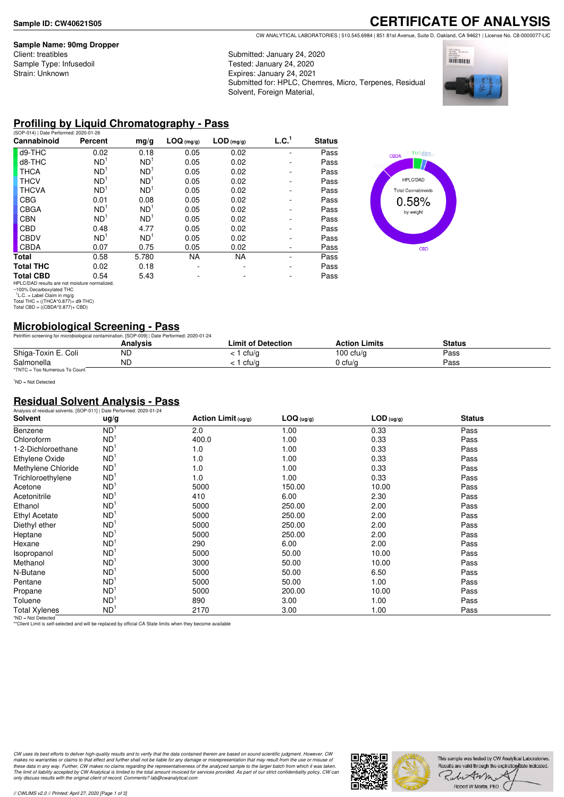#### **Sample Name: 90mg Dropper**

Client: treatibles Sample Type: Infusedoil Strain: Unknown

# **CERTIFICATE OF ANALYSIS**

CW ANALYTICAL LABORATORIES | 510.545.6984 | 851 81st Avenue, Suite D, Oakland, CA 94621 | License No. C8-0000077-LIC

Submitted: January 24, 2020 Tested: January 24, 2020 Expires: January 24, 2021 Submitted for: HPLC, Chemres, Micro, Terpenes, Residual Solvent, Foreign Material,



### **Profiling by Liquid Chromatography - Pass**

| (SOP-014)   Date Performed: 2020-01-26        |                                  |      |            |              |                   |
|-----------------------------------------------|----------------------------------|------|------------|--------------|-------------------|
| Percent                                       | mg/g                             |      |            |              | <b>Status</b>     |
| 0.02                                          | 0.18                             | 0.05 | 0.02       |              | Pass              |
| ND <sup>1</sup>                               | ND <sup>1</sup>                  | 0.05 | 0.02       |              | Pass              |
| ND <sup>1</sup>                               | ND <sup>1</sup>                  | 0.05 | 0.02       |              | Pass              |
| ND <sup>1</sup>                               | ND <sup>1</sup>                  | 0.05 | 0.02       |              | Pass              |
| ND <sup>1</sup>                               | ND <sup>1</sup>                  | 0.05 | 0.02       |              | Pass              |
| 0.01                                          | 0.08                             | 0.05 | 0.02       |              | Pass              |
| ND <sup>1</sup>                               | ND <sup>1</sup>                  | 0.05 | 0.02       |              | Pass              |
| ND <sup>1</sup>                               | ND <sup>1</sup>                  | 0.05 | 0.02       |              | Pass              |
| 0.48                                          | 4.77                             | 0.05 | 0.02       |              | Pass              |
| ND <sup>1</sup>                               | ND <sup>1</sup>                  | 0.05 | 0.02       |              | Pass              |
| 0.07                                          | 0.75                             | 0.05 | 0.02       |              | Pass              |
| 0.58                                          | 5.780                            | NA   | NA         |              | Pass              |
| 0.02                                          | 0.18                             |      |            |              | Pass              |
| 0.54                                          | 5.43                             |      |            |              | Pass              |
| HPLC/DAD results are not moisture normalized. |                                  |      |            |              |                   |
|                                               |                                  |      |            |              |                   |
| Total THC = $((THCA*0.877)+d9-THC)$           |                                  |      |            |              |                   |
|                                               | Total CBD = $((CBDA*0.877)+CBD)$ |      | LOG (mg/g) | $LOD$ (mg/g) | L.C. <sup>1</sup> |



# **Microbiological Screening - Pass**

|                               | Petriflim screening for microbiological contamination. [SOP-009]   Date Performed: 2020-01-24 |                           |                      |               |  |
|-------------------------------|-----------------------------------------------------------------------------------------------|---------------------------|----------------------|---------------|--|
|                               | Analvsis                                                                                      | <b>Limit of Detection</b> | <b>Action Limits</b> | <b>Status</b> |  |
| Shiga-Toxin E. Coli           | ΝC                                                                                            | cfu/g                     | 100 $ctu/a$          | Pass          |  |
| Salmonella                    | ND                                                                                            | cfu/a                     | 0 cfu/a              | Pass          |  |
| *TNTC = Too Numerous To Count |                                                                                               |                           |                      |               |  |

<sup>1</sup>ND = Not Detected

### **Residual Solvent Analysis - Pass**

| Analysis of residual solvents. [SOP-011]   Date Performed: 2020-01-24 |                 |                       |            |              |               |  |
|-----------------------------------------------------------------------|-----------------|-----------------------|------------|--------------|---------------|--|
| <b>Solvent</b>                                                        | ug/g            | Action Limit $(ug/g)$ | LOG (ug/g) | $LOD$ (ug/g) | <b>Status</b> |  |
| Benzene                                                               | ND <sup>1</sup> | 2.0                   | 1.00       | 0.33         | Pass          |  |
| Chloroform                                                            | ND <sup>1</sup> | 400.0                 | 1.00       | 0.33         | Pass          |  |
| 1-2-Dichloroethane                                                    | ND <sup>1</sup> | 1.0                   | 1.00       | 0.33         | Pass          |  |
| Ethylene Oxide                                                        | ND <sup>1</sup> | 1.0                   | 1.00       | 0.33         | Pass          |  |
| Methylene Chloride                                                    | ND <sup>1</sup> | 1.0                   | 1.00       | 0.33         | Pass          |  |
| Trichloroethylene                                                     | ND <sup>1</sup> | 1.0                   | 1.00       | 0.33         | Pass          |  |
| Acetone                                                               | ND <sup>1</sup> | 5000                  | 150.00     | 10.00        | Pass          |  |
| Acetonitrile                                                          | ND <sup>1</sup> | 410                   | 6.00       | 2.30         | Pass          |  |
| Ethanol                                                               | ND <sup>1</sup> | 5000                  | 250.00     | 2.00         | Pass          |  |
| <b>Ethyl Acetate</b>                                                  | ND <sup>1</sup> | 5000                  | 250.00     | 2.00         | Pass          |  |
| Diethyl ether                                                         | ND <sup>1</sup> | 5000                  | 250.00     | 2.00         | Pass          |  |
| Heptane                                                               | ND <sup>1</sup> | 5000                  | 250.00     | 2.00         | Pass          |  |
| Hexane                                                                | ND <sup>1</sup> | 290                   | 6.00       | 2.00         | Pass          |  |
| Isopropanol                                                           | ND <sup>1</sup> | 5000                  | 50.00      | 10.00        | Pass          |  |
| Methanol                                                              | ND <sup>1</sup> | 3000                  | 50.00      | 10.00        | Pass          |  |
| N-Butane                                                              | ND <sup>1</sup> | 5000                  | 50.00      | 6.50         | Pass          |  |
| Pentane                                                               | ND <sup>1</sup> | 5000                  | 50.00      | 1.00         | Pass          |  |
| Propane                                                               | ND <sup>1</sup> | 5000                  | 200.00     | 10.00        | Pass          |  |
| Toluene                                                               | ND <sup>1</sup> | 890                   | 3.00       | 1.00         | Pass          |  |
| <b>Total Xylenes</b>                                                  | ND <sup>1</sup> | 2170                  | 3.00       | 1.00         | Pass          |  |

\*ND = Not Detected \*\*Client Limit is self-selected and will be replaced by official CA State limits when they become available

CW uses its best efforts to deliver high-quality results and to verify that the data contained therein are based on sound scientific judgment. However, CW<br>makes no warranties or claims to that effect and further shall not *only discuss results with the original client of record. Comments? lab@cwanalytical.com*

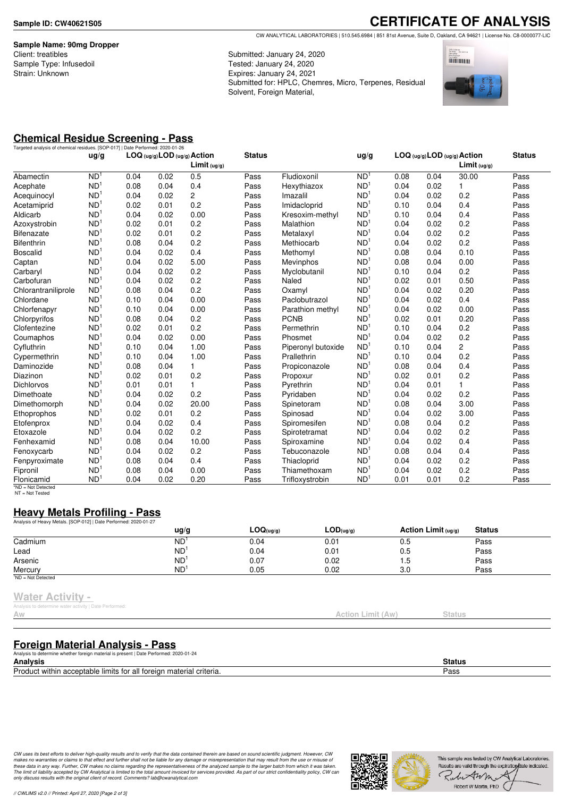**Sample Name: 90mg Dropper** Client: treatibles Sample Type: Infusedoil Strain: Unknown

**CERTIFICATE OF ANALYSIS** CW ANALYTICAL LABORATORIES | 510.545.6984 | 851 81st Avenue, Suite D, Oakland, CA 94621 | License No. C8-0000077-LIC

Submitted: January 24, 2020 Tested: January 24, 2020 Expires: January 24, 2021 Submitted for: HPLC, Chemres, Micro, Terpenes, Residual Solvent, Foreign Material,



# **Chemical Residue Screening - Pass**

|                     |                 | Targeted analysis of chemical residues. [SOP-017]   Date Performed: 2020-01-26<br>LOG (ug/g) LOD (ug/g) Action<br>ug/g |      |                         | <b>Status</b> |                    | ug/g            | LOG (ug/g) LOD (ug/g) Action |      |              | <b>Status</b> |
|---------------------|-----------------|------------------------------------------------------------------------------------------------------------------------|------|-------------------------|---------------|--------------------|-----------------|------------------------------|------|--------------|---------------|
|                     |                 |                                                                                                                        |      | Limit <sub>(ug/g)</sub> |               |                    |                 |                              |      | Limit (uq/q) |               |
| Abamectin           | ND <sup>1</sup> | 0.04                                                                                                                   | 0.02 | 0.5                     | Pass          | Fludioxonil        | ND <sup>1</sup> | 0.08                         | 0.04 | 30.00        | Pass          |
| Acephate            | ND <sup>1</sup> | 0.08                                                                                                                   | 0.04 | 0.4                     | Pass          | Hexythiazox        | ND <sup>1</sup> | 0.04                         | 0.02 | 1            | Pass          |
| Acequinocyl         | ND <sup>1</sup> | 0.04                                                                                                                   | 0.02 | $\mathbf{2}$            | Pass          | Imazalil           | ND <sup>1</sup> | 0.04                         | 0.02 | 0.2          | Pass          |
| Acetamiprid         | ND <sup>1</sup> | 0.02                                                                                                                   | 0.01 | 0.2                     | Pass          | Imidacloprid       | ND <sup>1</sup> | 0.10                         | 0.04 | 0.4          | Pass          |
| Aldicarb            | ND <sup>1</sup> | 0.04                                                                                                                   | 0.02 | 0.00                    | Pass          | Kresoxim-methyl    | ND <sup>1</sup> | 0.10                         | 0.04 | 0.4          | Pass          |
| Azoxystrobin        | ND <sup>1</sup> | 0.02                                                                                                                   | 0.01 | 0.2                     | Pass          | Malathion          | ND <sup>1</sup> | 0.04                         | 0.02 | 0.2          | Pass          |
| <b>Bifenazate</b>   | ND <sup>1</sup> | 0.02                                                                                                                   | 0.01 | 0.2                     | Pass          | Metalaxyl          | ND <sup>1</sup> | 0.04                         | 0.02 | 0.2          | Pass          |
| <b>Bifenthrin</b>   | ND <sup>1</sup> | 0.08                                                                                                                   | 0.04 | 0.2                     | Pass          | Methiocarb         | ND <sup>1</sup> | 0.04                         | 0.02 | 0.2          | Pass          |
| <b>Boscalid</b>     | ND <sup>1</sup> | 0.04                                                                                                                   | 0.02 | 0.4                     | Pass          | Methomyl           | ND <sup>1</sup> | 0.08                         | 0.04 | 0.10         | Pass          |
| Captan              | ND <sup>1</sup> | 0.04                                                                                                                   | 0.02 | 5.00                    | Pass          | <b>Mevinphos</b>   | ND <sup>1</sup> | 0.08                         | 0.04 | 0.00         | Pass          |
| Carbaryl            | ND <sup>1</sup> | 0.04                                                                                                                   | 0.02 | 0.2                     | Pass          | Myclobutanil       | ND <sup>1</sup> | 0.10                         | 0.04 | 0.2          | Pass          |
| Carbofuran          | ND <sup>1</sup> | 0.04                                                                                                                   | 0.02 | 0.2                     | Pass          | Naled              | ND <sup>1</sup> | 0.02                         | 0.01 | 0.50         | Pass          |
| Chlorantraniliprole | ND <sup>1</sup> | 0.08                                                                                                                   | 0.04 | 0.2                     | Pass          | Oxamyl             | ND <sup>1</sup> | 0.04                         | 0.02 | 0.20         | Pass          |
| Chlordane           | ND <sup>1</sup> | 0.10                                                                                                                   | 0.04 | 0.00                    | Pass          | Paclobutrazol      | ND <sup>1</sup> | 0.04                         | 0.02 | 0.4          | Pass          |
| Chlorfenapyr        | ND <sup>1</sup> | 0.10                                                                                                                   | 0.04 | 0.00                    | Pass          | Parathion methyl   | ND <sup>1</sup> | 0.04                         | 0.02 | 0.00         | Pass          |
| Chlorpyrifos        | ND <sup>1</sup> | 0.08                                                                                                                   | 0.04 | 0.2                     | Pass          | <b>PCNB</b>        | ND <sup>1</sup> | 0.02                         | 0.01 | 0.20         | Pass          |
| Clofentezine        | ND <sup>1</sup> | 0.02                                                                                                                   | 0.01 | 0.2                     | Pass          | Permethrin         | N <sub>D</sub>  | 0.10                         | 0.04 | 0.2          | Pass          |
| Coumaphos           | ND <sup>1</sup> | 0.04                                                                                                                   | 0.02 | 0.00                    | Pass          | Phosmet            | N <sub>D</sub>  | 0.04                         | 0.02 | 0.2          | Pass          |
| Cyfluthrin          | ND <sup>1</sup> | 0.10                                                                                                                   | 0.04 | 1.00                    | Pass          | Piperonyl butoxide | ND <sup>1</sup> | 0.10                         | 0.04 | 2            | Pass          |
| Cypermethrin        | ND <sup>1</sup> | 0.10                                                                                                                   | 0.04 | 1.00                    | Pass          | Prallethrin        | ND <sup>1</sup> | 0.10                         | 0.04 | 0.2          | Pass          |
| Daminozide          | ND <sup>1</sup> | 0.08                                                                                                                   | 0.04 | $\mathbf{1}$            | Pass          | Propiconazole      | ND <sup>1</sup> | 0.08                         | 0.04 | 0.4          | Pass          |
| Diazinon            | ND <sup>1</sup> | 0.02                                                                                                                   | 0.01 | 0.2                     | Pass          | Propoxur           | ND <sup>1</sup> | 0.02                         | 0.01 | 0.2          | Pass          |
| <b>Dichlorvos</b>   | ND <sup>1</sup> | 0.01                                                                                                                   | 0.01 | 1                       | Pass          | Pyrethrin          | ND <sup>1</sup> | 0.04                         | 0.01 | 1            | Pass          |
| Dimethoate          | ND <sup>1</sup> | 0.04                                                                                                                   | 0.02 | 0.2                     | Pass          | Pyridaben          | ND <sup>1</sup> | 0.04                         | 0.02 | 0.2          | Pass          |
| Dimethomorph        | ND <sup>1</sup> | 0.04                                                                                                                   | 0.02 | 20.00                   | Pass          | Spinetoram         | ND <sup>1</sup> | 0.08                         | 0.04 | 3.00         | Pass          |
| Ethoprophos         | ND <sup>1</sup> | 0.02                                                                                                                   | 0.01 | 0.2                     | Pass          | Spinosad           | ND <sup>1</sup> | 0.04                         | 0.02 | 3.00         | Pass          |
| Etofenprox          | ND <sup>1</sup> | 0.04                                                                                                                   | 0.02 | 0.4                     | Pass          | Spiromesifen       | ND <sup>1</sup> | 0.08                         | 0.04 | 0.2          | Pass          |
| Etoxazole           | ND <sup>1</sup> | 0.04                                                                                                                   | 0.02 | 0.2                     | Pass          | Spirotetramat      | ND <sup>1</sup> | 0.04                         | 0.02 | 0.2          | Pass          |
| Fenhexamid          | ND <sup>1</sup> | 0.08                                                                                                                   | 0.04 | 10.00                   | Pass          | Spiroxamine        | ND <sup>1</sup> | 0.04                         | 0.02 | 0.4          | Pass          |
| Fenoxycarb          | ND <sup>1</sup> | 0.04                                                                                                                   | 0.02 | 0.2                     | Pass          | Tebuconazole       | ND <sup>1</sup> | 0.08                         | 0.04 | 0.4          | Pass          |
| Fenpyroximate       | ND <sup>1</sup> | 0.08                                                                                                                   | 0.04 | 0.4                     | Pass          | Thiacloprid        | ND <sup>1</sup> | 0.04                         | 0.02 | 0.2          | Pass          |
| Fipronil            | ND <sup>1</sup> | 0.08                                                                                                                   | 0.04 | 0.00                    | Pass          | Thiamethoxam       | ND <sup>1</sup> | 0.04                         | 0.02 | 0.2          | Pass          |
| Flonicamid          | ND <sup>1</sup> | 0.04                                                                                                                   | 0.02 | 0.20                    | Pass          | Trifloxystrobin    | ND <sup>1</sup> | 0.01                         | 0.01 | 0.2          | Pass          |

NT = Not Tested

### **Heavy Metals Profiling - Pass**

| Analysis of Heavy Metals. [SOP-012]   Date Performed: 2020-01-27 |               |           |                       |                       |               |  |
|------------------------------------------------------------------|---------------|-----------|-----------------------|-----------------------|---------------|--|
|                                                                  | $\frac{u}{g}$ | LOG(ug/g) | $\mathsf{LOD}$ (ug/g) | Action Limit $(uq/q)$ | <b>Status</b> |  |
| Cadmium                                                          | <b>ND</b>     | 0.04      | 0.01                  | 0.5                   | Pass          |  |
| Lead                                                             | ND            | 0.04      | 0.01                  | 0.5                   | Pass          |  |
| Arsenic                                                          | <b>ND</b>     | 0.07      | 0.02                  | l.5                   | Pass          |  |
| Mercurv                                                          | ND            | 0.05      | 0.02                  | 3.0                   | Pass          |  |
| <sup>1</sup> ND = Not Detected                                   |               |           |                       |                       |               |  |

#### **Water Activity -**

s to determine water activity | Date Performed

# **Foreign Material Analysis - Pass**

Analysis to determine whether foreign material is present | Date Performed: 2020-01-24

**Analysis Status** Product within acceptable limits for all foreign material criteria. Pass

CW uses its best efforts to deliver high-quality results and to verify that the data contained therein are based on sound scientific judgment. However, CW<br>makes no warranties or claims to that effect and further shall not *only discuss results with the original client of record. Comments? lab@cwanalytical.com*



Action Limit (Aw) Status